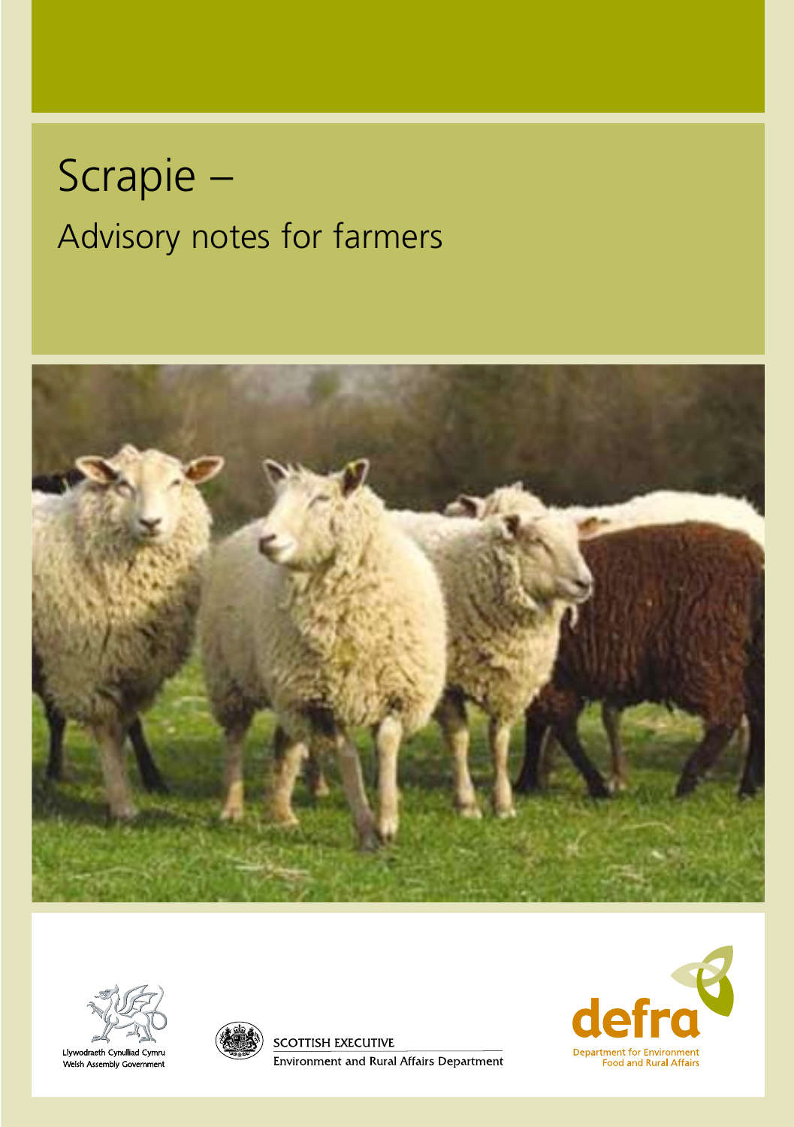# Scrapie – Advisory notes for farmers





Llywodraeth Cynulliad Cymru Welsh Assembly Government



SCOTTISH EXECUTIVE **Environment and Rural Affairs Department** 

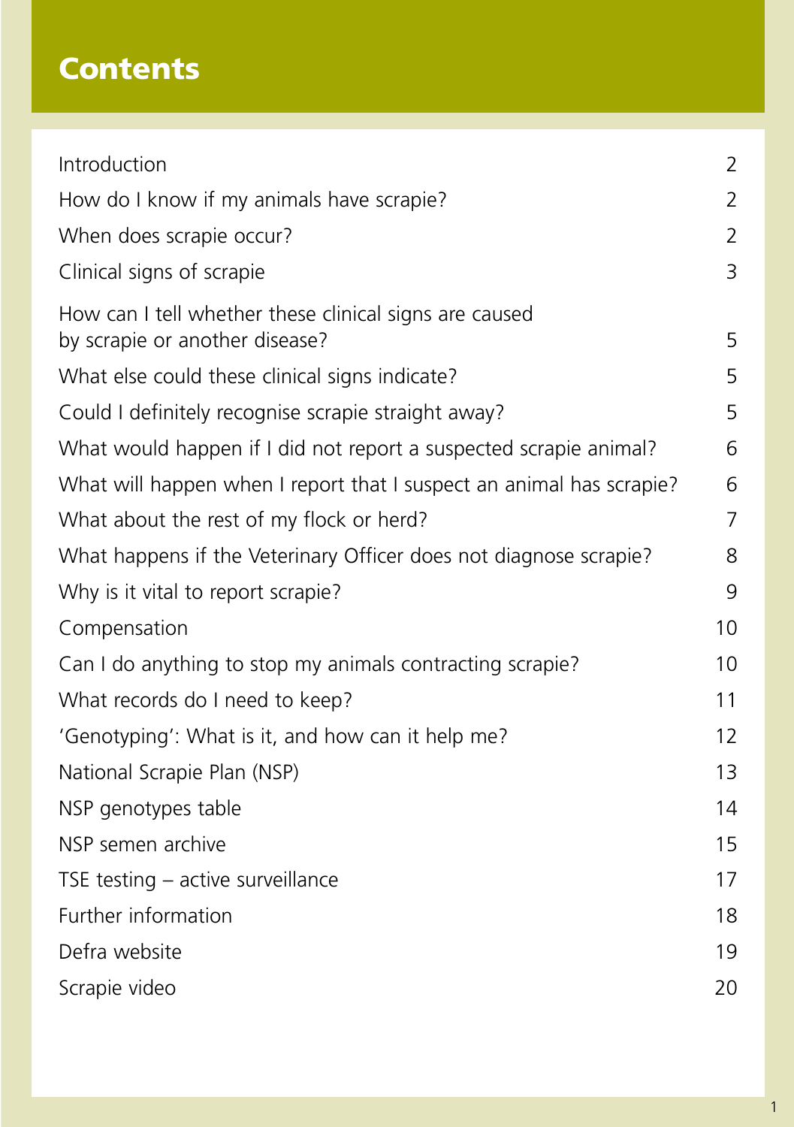# **Contents**

| Introduction                                                                             | 2              |  |
|------------------------------------------------------------------------------------------|----------------|--|
| How do I know if my animals have scrapie?                                                |                |  |
| When does scrapie occur?                                                                 |                |  |
| Clinical signs of scrapie                                                                | 3              |  |
| How can I tell whether these clinical signs are caused<br>by scrapie or another disease? | 5              |  |
| What else could these clinical signs indicate?                                           | 5              |  |
| Could I definitely recognise scrapie straight away?                                      | 5              |  |
| What would happen if I did not report a suspected scrapie animal?                        | 6              |  |
| What will happen when I report that I suspect an animal has scrapie?                     | 6              |  |
| What about the rest of my flock or herd?                                                 | $\overline{7}$ |  |
| What happens if the Veterinary Officer does not diagnose scrapie?                        | 8              |  |
| Why is it vital to report scrapie?                                                       | 9              |  |
| Compensation                                                                             | 10             |  |
| Can I do anything to stop my animals contracting scrapie?                                | 10             |  |
| What records do I need to keep?                                                          | 11             |  |
| 'Genotyping': What is it, and how can it help me?                                        |                |  |
| National Scrapie Plan (NSP)                                                              |                |  |
| NSP genotypes table                                                                      | 14             |  |
| NSP semen archive                                                                        | 15             |  |
| TSE testing - active surveillance                                                        | 17             |  |
| Further information                                                                      | 18             |  |
| Defra website                                                                            | 19             |  |
| Scrapie video                                                                            | 20             |  |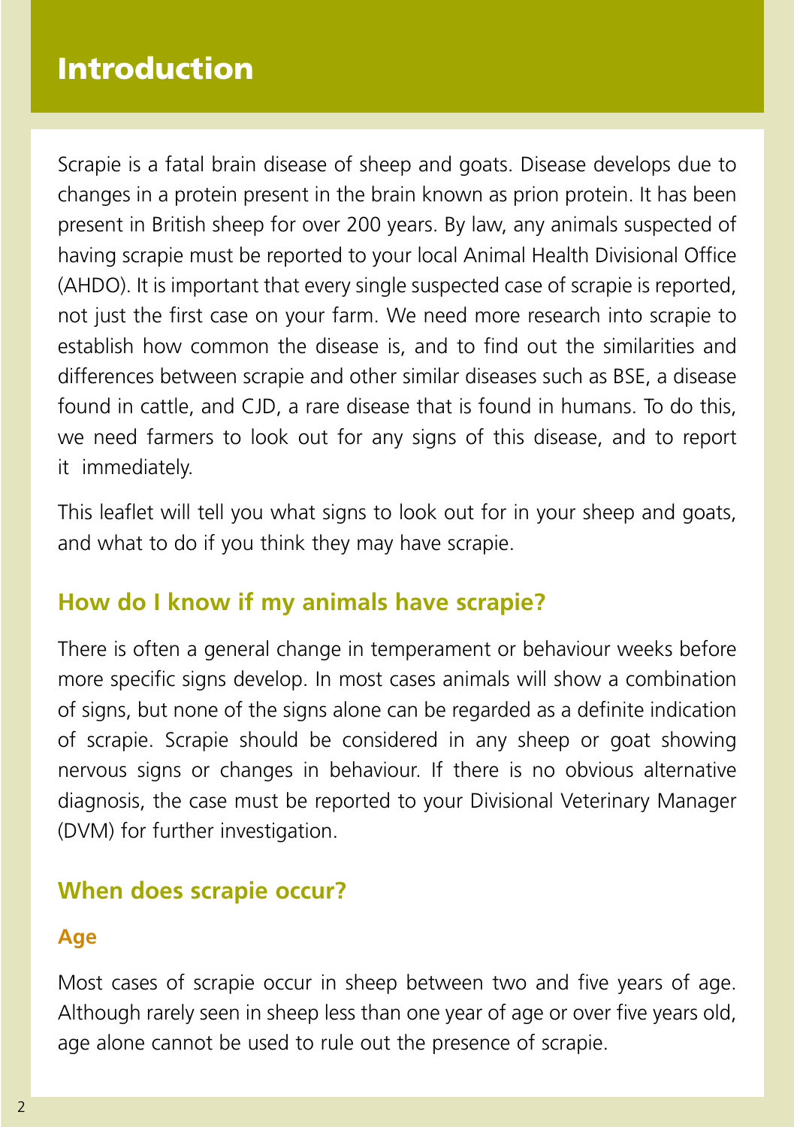## **Solvents emissions directive Introduction**

Scrapie is a fatal brain disease of sheep and goats. Disease develops due to changes in a protein present in the brain known as prion protein. It has been present in British sheep for over 200 years. By law, any animals suspected of having scrapie must be reported to your local Animal Health Divisional Office (AHDO). It is important that every single suspected case of scrapie is reported, not just the first case on your farm. We need more research into scrapie to establish how common the disease is, and to find out the similarities and differences between scrapie and other similar diseases such as BSE, a disease found in cattle, and CJD, a rare disease that is found in humans. To do this, we need farmers to look out for any signs of this disease, and to report it immediately.

This leaflet will tell you what signs to look out for in your sheep and goats, and what to do if you think they may have scrapie.

## **How do I know if my animals have scrapie?**

There is often a general change in temperament or behaviour weeks before more specific signs develop. In most cases animals will show a combination of signs, but none of the signs alone can be regarded as a definite indication of scrapie. Scrapie should be considered in any sheep or goat showing nervous signs or changes in behaviour. If there is no obvious alternative diagnosis, the case must be reported to your Divisional Veterinary Manager (DVM) for further investigation.

## **When does scrapie occur?**

#### **Age**

Most cases of scrapie occur in sheep between two and five years of age. Although rarely seen in sheep less than one year of age or over five years old, age alone cannot be used to rule out the presence of scrapie.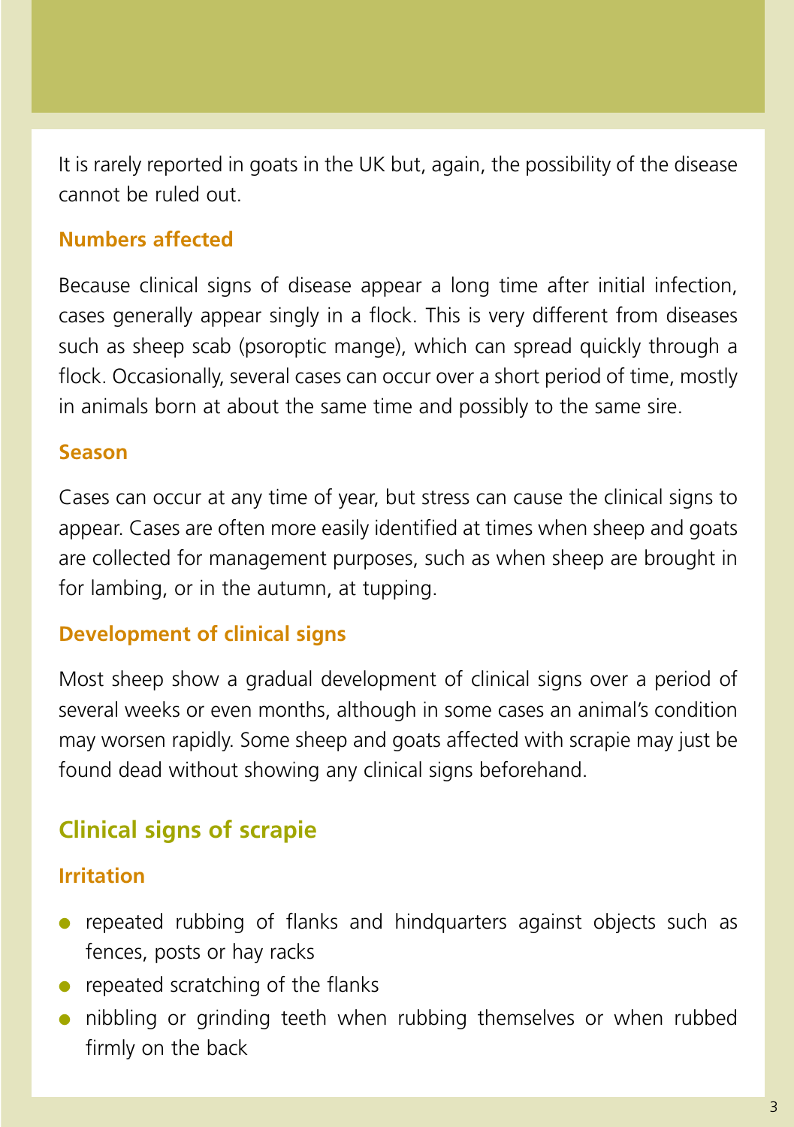It is rarely reported in goats in the UK but, again, the possibility of the disease cannot be ruled out.

#### **Numbers affected**

Because clinical signs of disease appear a long time after initial infection, cases generally appear singly in a flock. This is very different from diseases such as sheep scab (psoroptic mange), which can spread quickly through a flock. Occasionally, several cases can occur over a short period of time, mostly in animals born at about the same time and possibly to the same sire.

#### **Season**

Cases can occur at any time of year, but stress can cause the clinical signs to appear. Cases are often more easily identified at times when sheep and goats are collected for management purposes, such as when sheep are brought in for lambing, or in the autumn, at tupping.

#### **Development of clinical signs**

Most sheep show a gradual development of clinical signs over a period of several weeks or even months, although in some cases an animal's condition may worsen rapidly. Some sheep and goats affected with scrapie may just be found dead without showing any clinical signs beforehand.

## **Clinical signs of scrapie**

#### **Irritation**

- repeated rubbing of flanks and hindquarters against objects such as fences, posts or hay racks
- $\bullet$  repeated scratching of the flanks
- nibbling or grinding teeth when rubbing themselves or when rubbed firmly on the back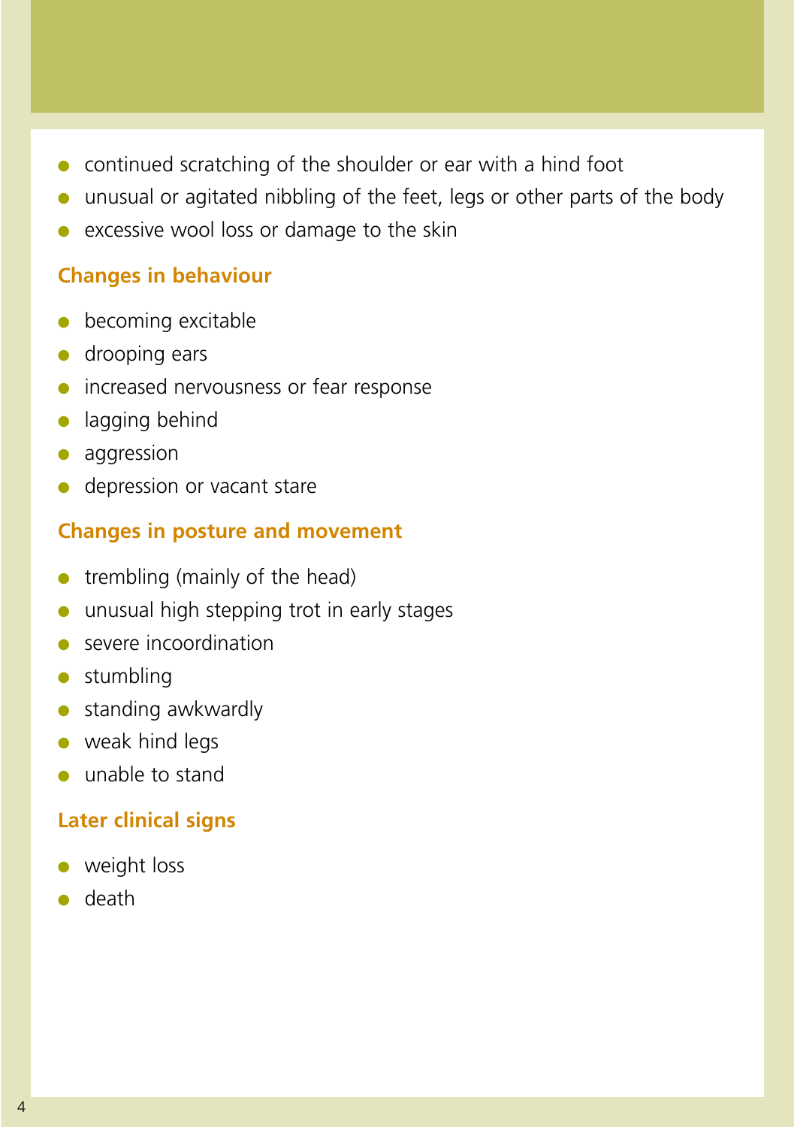- continued scratching of the shoulder or ear with a hind foot
- unusual or agitated nibbling of the feet, legs or other parts of the body
- excessive wool loss or damage to the skin

#### **Changes in behaviour**

- becoming excitable
- drooping ears
- increased nervousness or fear response
- lagging behind
- aggression
- depression or vacant stare

#### **Changes in posture and movement**

- $\bullet$  trembling (mainly of the head)
- unusual high stepping trot in early stages
- severe incoordination
- stumbling
- standing awkwardly
- weak hind legs
- unable to stand

#### **Later clinical signs**

- weight loss
- death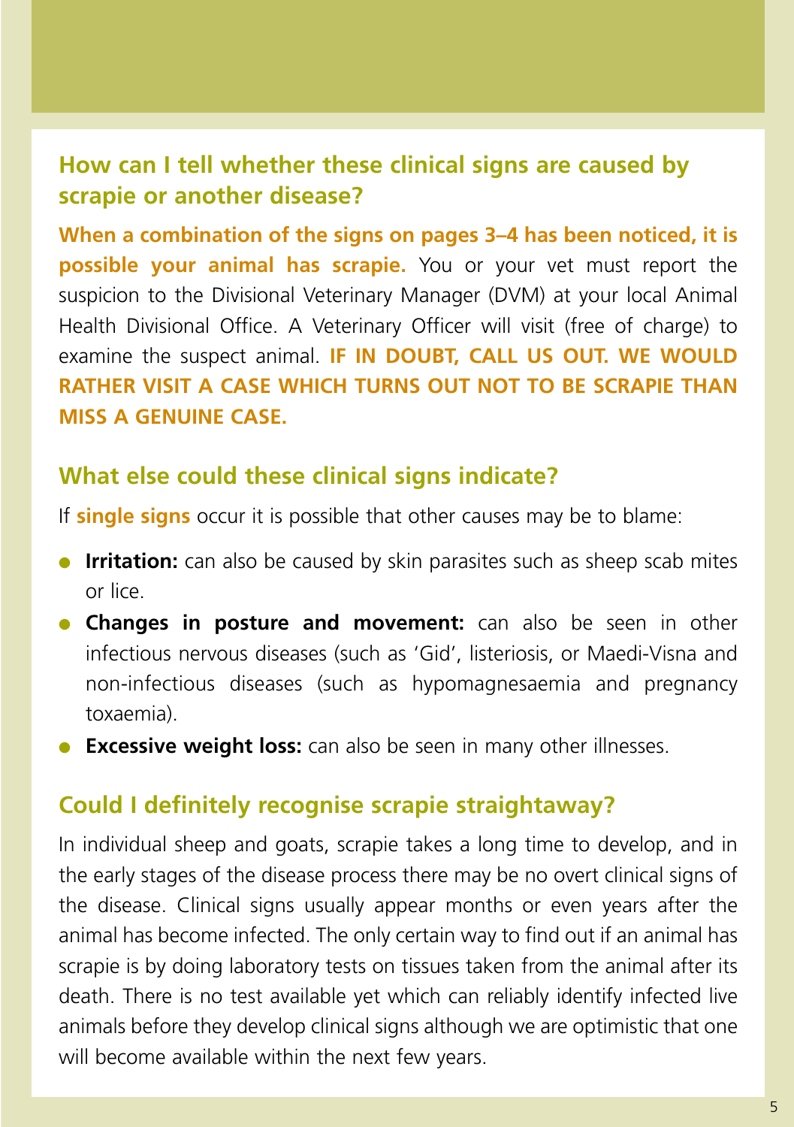## **How can I tell whether these clinical signs are caused by scrapie or another disease?**

**When a combination of the signs on pages 3–4 has been noticed, it is possible your animal has scrapie.** You or your vet must report the suspicion to the Divisional Veterinary Manager (DVM) at your local Animal Health Divisional Office. A Veterinary Officer will visit (free of charge) to examine the suspect animal. **IF IN DOUBT, CALL US OUT. WE WOULD RATHER VISIT A CASE WHICH TURNS OUT NOT TO BE SCRAPIE THAN MISS A GENUINE CASE.**

## **What else could these clinical signs indicate?**

If **single signs** occur it is possible that other causes may be to blame:

- **Irritation:** can also be caused by skin parasites such as sheep scab mites or lice.
- **Changes in posture and movement:** can also be seen in other infectious nervous diseases (such as 'Gid', listeriosis, or Maedi-Visna and non-infectious diseases (such as hypomagnesaemia and pregnancy toxaemia).
- **Excessive weight loss:** can also be seen in many other illnesses.

## **Could I definitely recognise scrapie straightaway?**

In individual sheep and goats, scrapie takes a long time to develop, and in the early stages of the disease process there may be no overt clinical signs of the disease. Clinical signs usually appear months or even years after the animal has become infected. The only certain way to find out if an animal has scrapie is by doing laboratory tests on tissues taken from the animal after its death. There is no test available yet which can reliably identify infected live animals before they develop clinical signs although we are optimistic that one will become available within the next few years.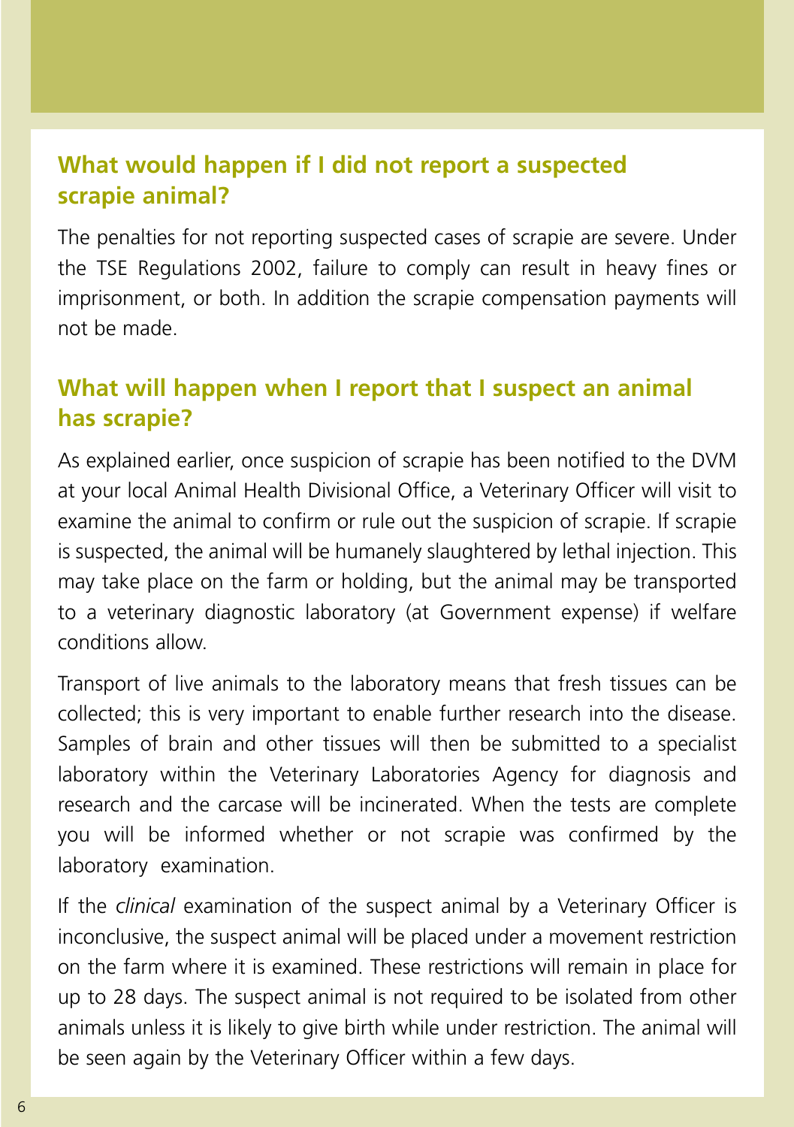## **What would happen if I did not report a suspected scrapie animal?**

The penalties for not reporting suspected cases of scrapie are severe. Under the TSE Regulations 2002, failure to comply can result in heavy fines or imprisonment, or both. In addition the scrapie compensation payments will not be made.

## **What will happen when I report that I suspect an animal has scrapie?**

As explained earlier, once suspicion of scrapie has been notified to the DVM at your local Animal Health Divisional Office, a Veterinary Officer will visit to examine the animal to confirm or rule out the suspicion of scrapie. If scrapie is suspected, the animal will be humanely slaughtered by lethal injection. This may take place on the farm or holding, but the animal may be transported to a veterinary diagnostic laboratory (at Government expense) if welfare conditions allow.

Transport of live animals to the laboratory means that fresh tissues can be collected; this is very important to enable further research into the disease. Samples of brain and other tissues will then be submitted to a specialist laboratory within the Veterinary Laboratories Agency for diagnosis and research and the carcase will be incinerated. When the tests are complete you will be informed whether or not scrapie was confirmed by the laboratory examination.

If the *clinical* examination of the suspect animal by a Veterinary Officer is inconclusive, the suspect animal will be placed under a movement restriction on the farm where it is examined. These restrictions will remain in place for up to 28 days. The suspect animal is not required to be isolated from other animals unless it is likely to give birth while under restriction. The animal will be seen again by the Veterinary Officer within a few days.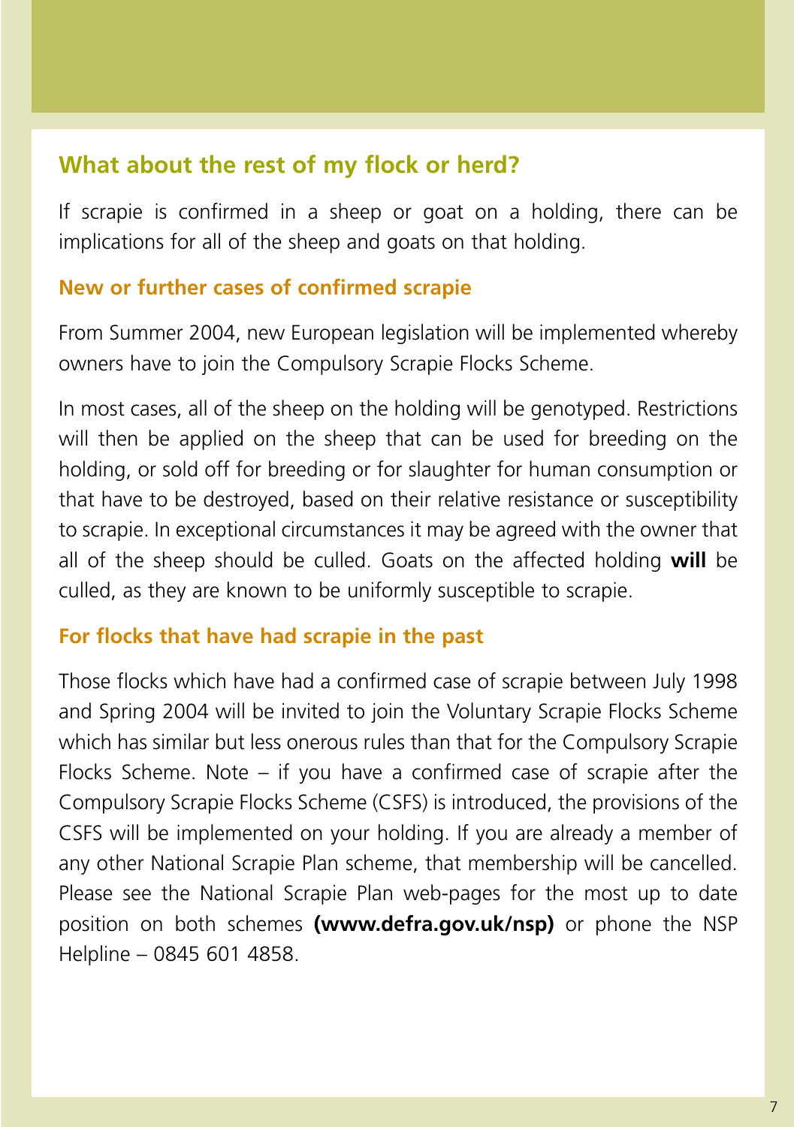## **What about the rest of my flock or herd?**

If scrapie is confirmed in a sheep or goat on a holding, there can be implications for all of the sheep and goats on that holding.

#### **New or further cases of confirmed scrapie**

From Summer 2004, new European legislation will be implemented whereby owners have to join the Compulsory Scrapie Flocks Scheme.

In most cases, all of the sheep on the holding will be genotyped. Restrictions will then be applied on the sheep that can be used for breeding on the holding, or sold off for breeding or for slaughter for human consumption or that have to be destroyed, based on their relative resistance or susceptibility to scrapie. In exceptional circumstances it may be agreed with the owner that all of the sheep should be culled. Goats on the affected holding **will** be culled, as they are known to be uniformly susceptible to scrapie.

#### **For flocks that have had scrapie in the past**

Those flocks which have had a confirmed case of scrapie between July 1998 and Spring 2004 will be invited to join the Voluntary Scrapie Flocks Scheme which has similar but less onerous rules than that for the Compulsory Scrapie Flocks Scheme. Note – if you have a confirmed case of scrapie after the Compulsory Scrapie Flocks Scheme (CSFS) is introduced, the provisions of the CSFS will be implemented on your holding. If you are already a member of any other National Scrapie Plan scheme, that membership will be cancelled. Please see the National Scrapie Plan web-pages for the most up to date position on both schemes **(www.defra.gov.uk/nsp)** or phone the NSP Helpline – 0845 601 4858.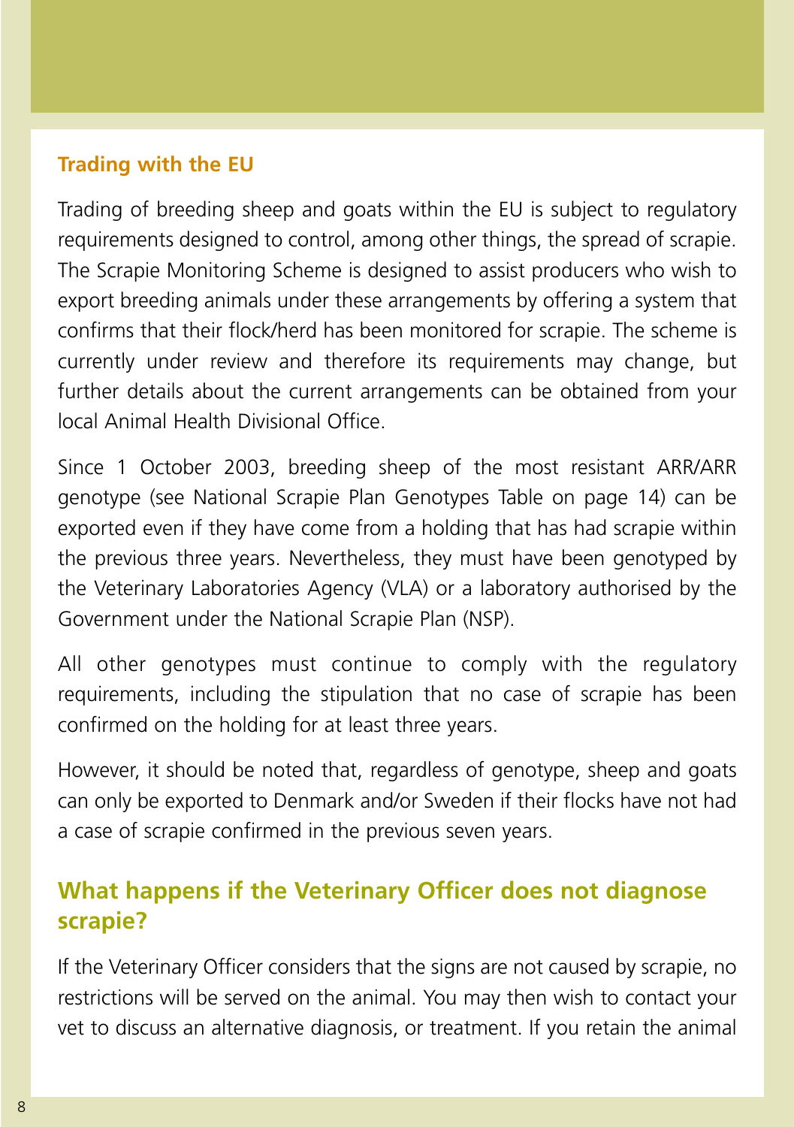#### **Trading with the EU**

Trading of breeding sheep and goats within the EU is subject to regulatory requirements designed to control, among other things, the spread of scrapie. The Scrapie Monitoring Scheme is designed to assist producers who wish to export breeding animals under these arrangements by offering a system that confirms that their flock/herd has been monitored for scrapie. The scheme is currently under review and therefore its requirements may change, but further details about the current arrangements can be obtained from your local Animal Health Divisional Office.

Since 1 October 2003, breeding sheep of the most resistant ARR/ARR genotype (see National Scrapie Plan Genotypes Table on page 14) can be exported even if they have come from a holding that has had scrapie within the previous three years. Nevertheless, they must have been genotyped by the Veterinary Laboratories Agency (VLA) or a laboratory authorised by the Government under the National Scrapie Plan (NSP).

All other genotypes must continue to comply with the regulatory requirements, including the stipulation that no case of scrapie has been confirmed on the holding for at least three years.

However, it should be noted that, regardless of genotype, sheep and goats can only be exported to Denmark and/or Sweden if their flocks have not had a case of scrapie confirmed in the previous seven years.

## **What happens if the Veterinary Officer does not diagnose scrapie?**

If the Veterinary Officer considers that the signs are not caused by scrapie, no restrictions will be served on the animal. You may then wish to contact your vet to discuss an alternative diagnosis, or treatment. If you retain the animal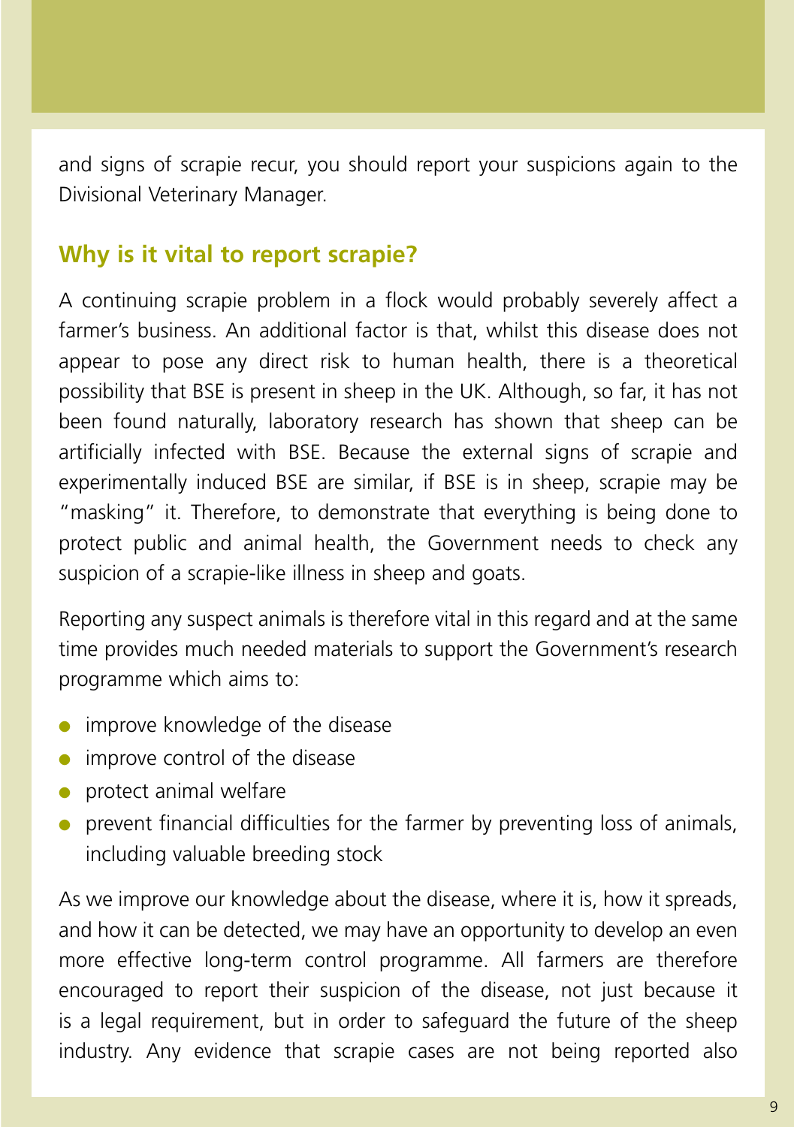and signs of scrapie recur, you should report your suspicions again to the Divisional Veterinary Manager.

## **Why is it vital to report scrapie?**

A continuing scrapie problem in a flock would probably severely affect a farmer's business. An additional factor is that, whilst this disease does not appear to pose any direct risk to human health, there is a theoretical possibility that BSE is present in sheep in the UK. Although, so far, it has not been found naturally, laboratory research has shown that sheep can be artificially infected with BSE. Because the external signs of scrapie and experimentally induced BSE are similar, if BSE is in sheep, scrapie may be "masking" it. Therefore, to demonstrate that everything is being done to protect public and animal health, the Government needs to check any suspicion of a scrapie-like illness in sheep and goats.

Reporting any suspect animals is therefore vital in this regard and at the same time provides much needed materials to support the Government's research programme which aims to:

- **•** improve knowledge of the disease
- improve control of the disease
- protect animal welfare
- prevent financial difficulties for the farmer by preventing loss of animals, including valuable breeding stock

As we improve our knowledge about the disease, where it is, how it spreads, and how it can be detected, we may have an opportunity to develop an even more effective long-term control programme. All farmers are therefore encouraged to report their suspicion of the disease, not just because it is a legal requirement, but in order to safeguard the future of the sheep industry. Any evidence that scrapie cases are not being reported also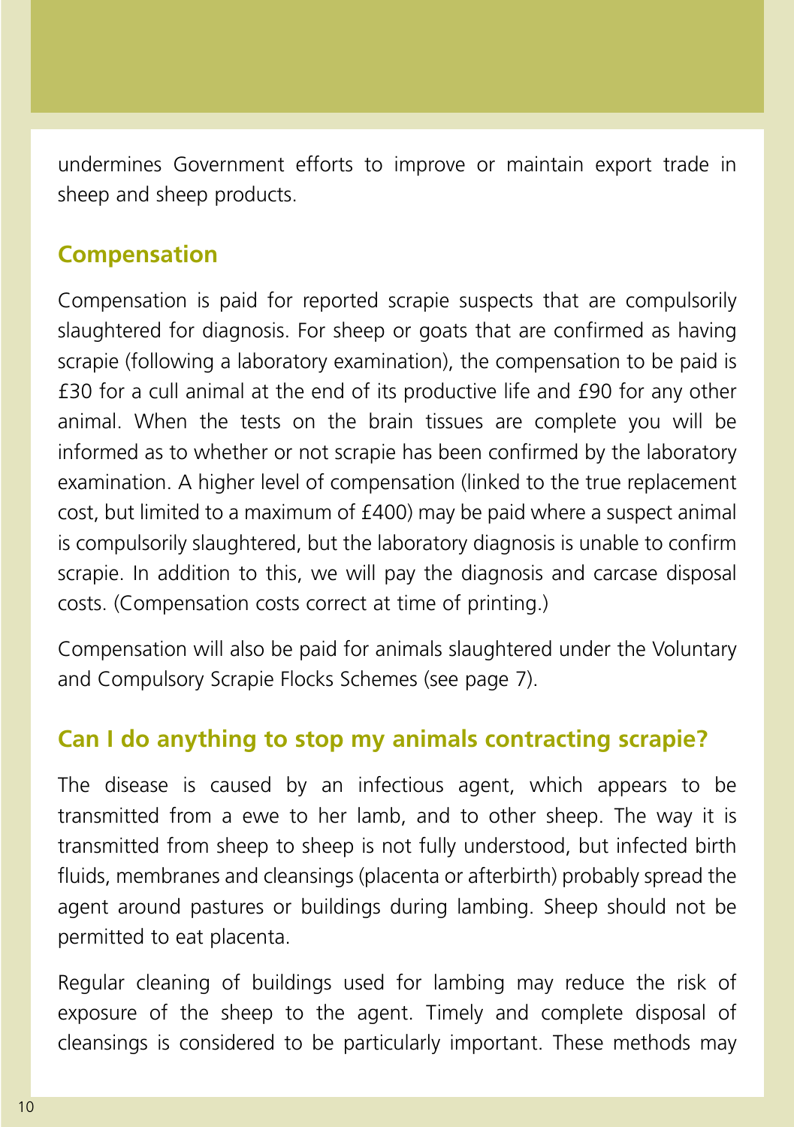undermines Government efforts to improve or maintain export trade in sheep and sheep products.

## **Compensation**

Compensation is paid for reported scrapie suspects that are compulsorily slaughtered for diagnosis. For sheep or goats that are confirmed as having scrapie (following a laboratory examination), the compensation to be paid is £30 for a cull animal at the end of its productive life and £90 for any other animal. When the tests on the brain tissues are complete you will be informed as to whether or not scrapie has been confirmed by the laboratory examination. A higher level of compensation (linked to the true replacement cost, but limited to a maximum of £400) may be paid where a suspect animal is compulsorily slaughtered, but the laboratory diagnosis is unable to confirm scrapie. In addition to this, we will pay the diagnosis and carcase disposal costs. (Compensation costs correct at time of printing.)

Compensation will also be paid for animals slaughtered under the Voluntary and Compulsory Scrapie Flocks Schemes (see page 7).

## **Can I do anything to stop my animals contracting scrapie?**

The disease is caused by an infectious agent, which appears to be transmitted from a ewe to her lamb, and to other sheep. The way it is transmitted from sheep to sheep is not fully understood, but infected birth fluids, membranes and cleansings (placenta or afterbirth) probably spread the agent around pastures or buildings during lambing. Sheep should not be permitted to eat placenta.

Regular cleaning of buildings used for lambing may reduce the risk of exposure of the sheep to the agent. Timely and complete disposal of cleansings is considered to be particularly important. These methods may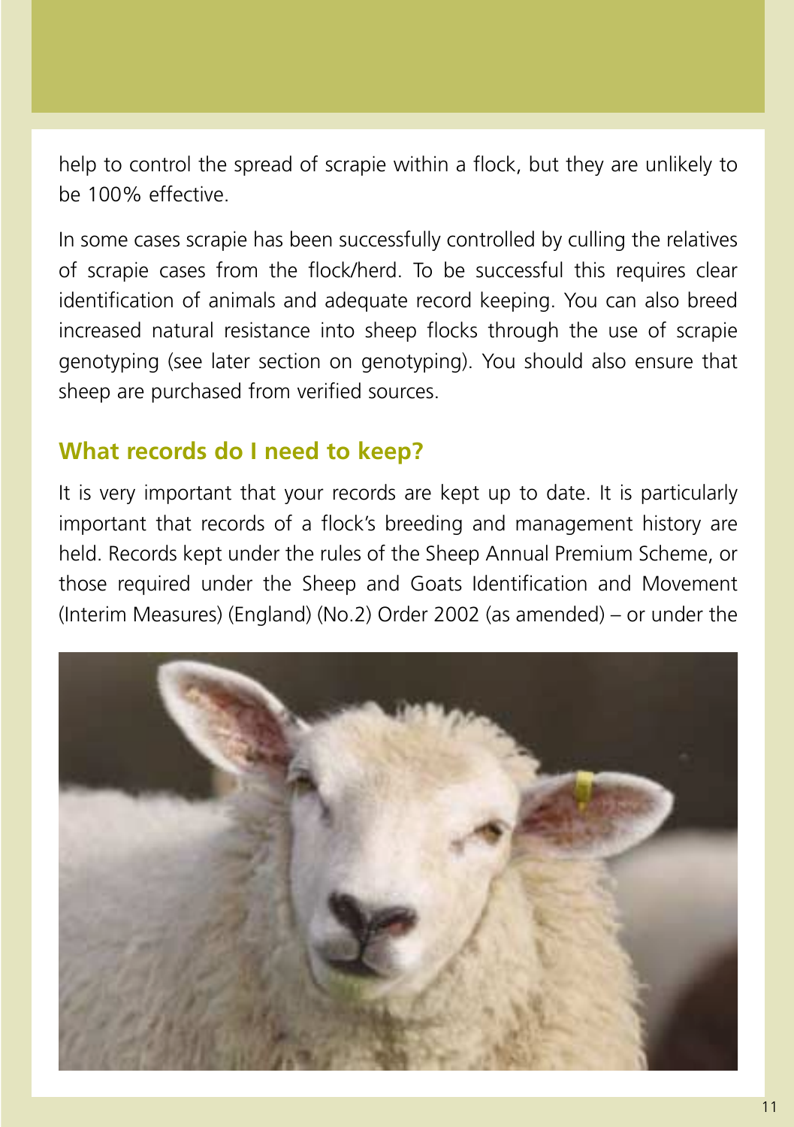help to control the spread of scrapie within a flock, but they are unlikely to be 100% effective.

In some cases scrapie has been successfully controlled by culling the relatives of scrapie cases from the flock/herd. To be successful this requires clear identification of animals and adequate record keeping. You can also breed increased natural resistance into sheep flocks through the use of scrapie genotyping (see later section on genotyping). You should also ensure that sheep are purchased from verified sources.

## **What records do I need to keep?**

It is very important that your records are kept up to date. It is particularly important that records of a flock's breeding and management history are held. Records kept under the rules of the Sheep Annual Premium Scheme, or those required under the Sheep and Goats Identification and Movement (Interim Measures) (England) (No.2) Order 2002 (as amended) – or under the

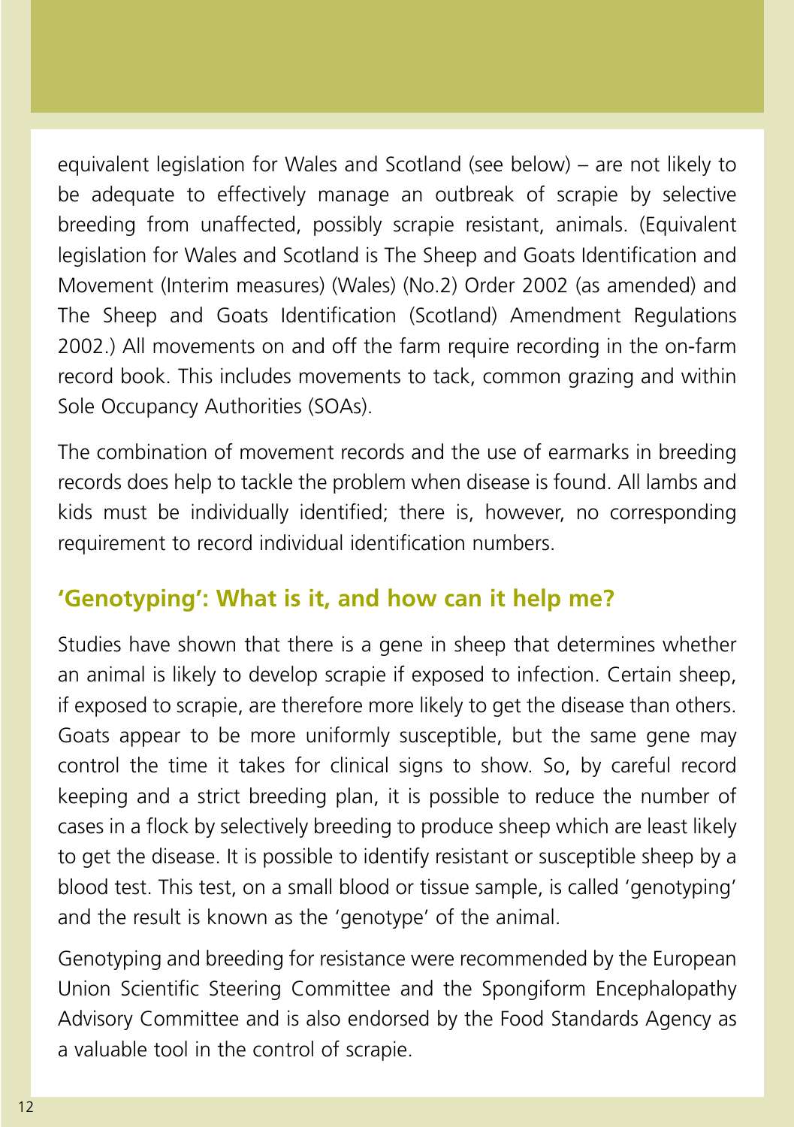equivalent legislation for Wales and Scotland (see below) – are not likely to be adequate to effectively manage an outbreak of scrapie by selective breeding from unaffected, possibly scrapie resistant, animals. (Equivalent legislation for Wales and Scotland is The Sheep and Goats Identification and Movement (Interim measures) (Wales) (No.2) Order 2002 (as amended) and The Sheep and Goats Identification (Scotland) Amendment Regulations 2002.) All movements on and off the farm require recording in the on-farm record book. This includes movements to tack, common grazing and within Sole Occupancy Authorities (SOAs).

The combination of movement records and the use of earmarks in breeding records does help to tackle the problem when disease is found. All lambs and kids must be individually identified; there is, however, no corresponding requirement to record individual identification numbers.

## **'Genotyping': What is it, and how can it help me?**

Studies have shown that there is a gene in sheep that determines whether an animal is likely to develop scrapie if exposed to infection. Certain sheep, if exposed to scrapie, are therefore more likely to get the disease than others. Goats appear to be more uniformly susceptible, but the same gene may control the time it takes for clinical signs to show. So, by careful record keeping and a strict breeding plan, it is possible to reduce the number of cases in a flock by selectively breeding to produce sheep which are least likely to get the disease. It is possible to identify resistant or susceptible sheep by a blood test. This test, on a small blood or tissue sample, is called 'genotyping' and the result is known as the 'genotype' of the animal.

Genotyping and breeding for resistance were recommended by the European Union Scientific Steering Committee and the Spongiform Encephalopathy Advisory Committee and is also endorsed by the Food Standards Agency as a valuable tool in the control of scrapie.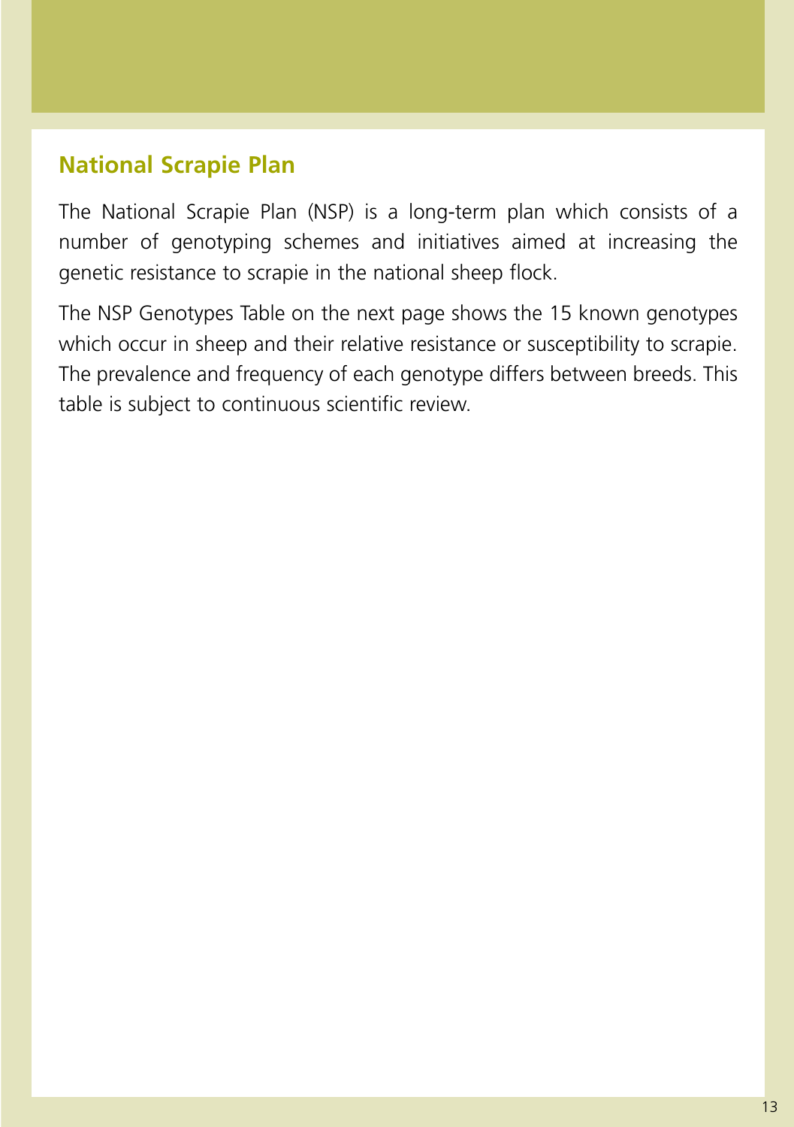## **National Scrapie Plan**

The National Scrapie Plan (NSP) is a long-term plan which consists of a number of genotyping schemes and initiatives aimed at increasing the genetic resistance to scrapie in the national sheep flock.

The NSP Genotypes Table on the next page shows the 15 known genotypes which occur in sheep and their relative resistance or susceptibility to scrapie. The prevalence and frequency of each genotype differs between breeds. This table is subject to continuous scientific review.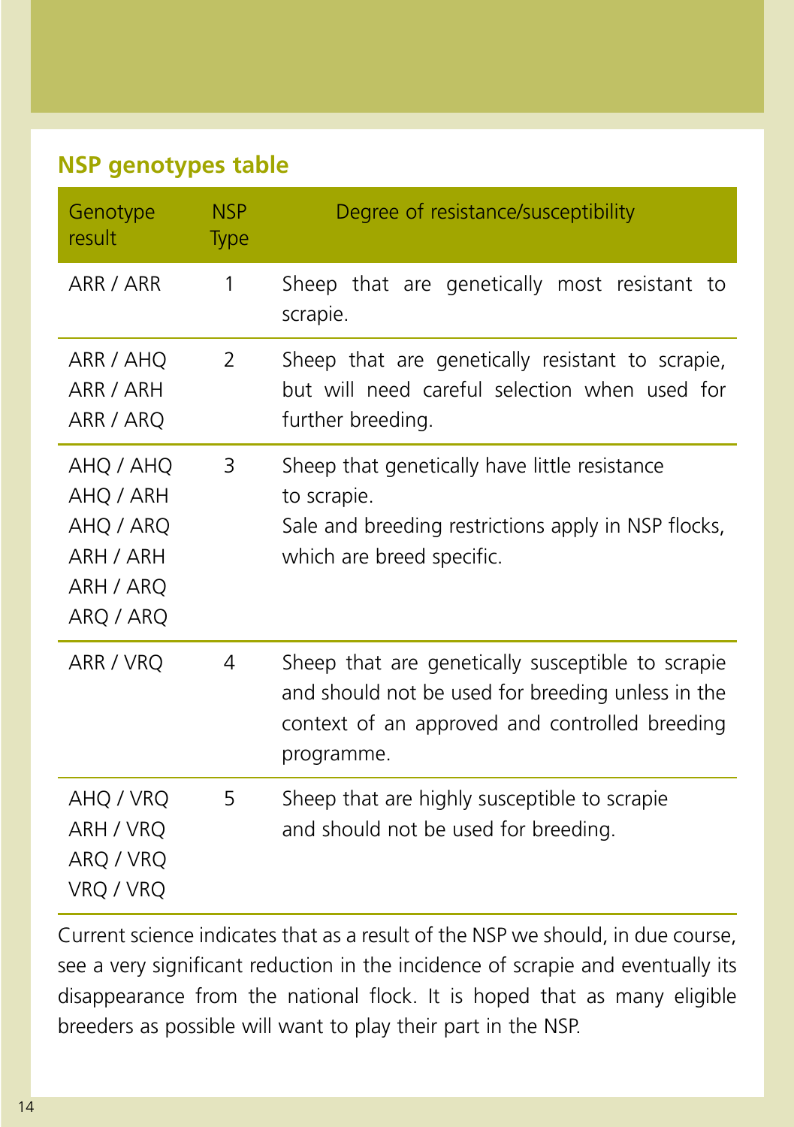## **NSP genotypes table**

| Genotype<br>result                                                         | <b>NSP</b><br><b>Type</b> | Degree of resistance/susceptibility                                                                                                                                    |
|----------------------------------------------------------------------------|---------------------------|------------------------------------------------------------------------------------------------------------------------------------------------------------------------|
| ARR / ARR                                                                  | $\mathbf{1}$              | Sheep that are genetically most resistant to<br>scrapie.                                                                                                               |
| ARR / AHQ<br>ARR / ARH<br>ARR / ARQ                                        | $\overline{2}$            | Sheep that are genetically resistant to scrapie,<br>but will need careful selection when used for<br>further breeding.                                                 |
| AHQ / AHQ<br>AHQ / ARH<br>AHQ / ARQ<br>ARH / ARH<br>ARH / ARQ<br>ARQ / ARQ | 3                         | Sheep that genetically have little resistance<br>to scrapie.<br>Sale and breeding restrictions apply in NSP flocks,<br>which are breed specific.                       |
| ARR / VRQ                                                                  | 4                         | Sheep that are genetically susceptible to scrapie<br>and should not be used for breeding unless in the<br>context of an approved and controlled breeding<br>programme. |
| AHQ / VRQ<br>ARH / VRO<br>ARQ / VRQ<br>VRQ / VRQ                           | 5                         | Sheep that are highly susceptible to scrapie<br>and should not be used for breeding.                                                                                   |

Current science indicates that as a result of the NSP we should, in due course, see a very significant reduction in the incidence of scrapie and eventually its disappearance from the national flock. It is hoped that as many eligible breeders as possible will want to play their part in the NSP.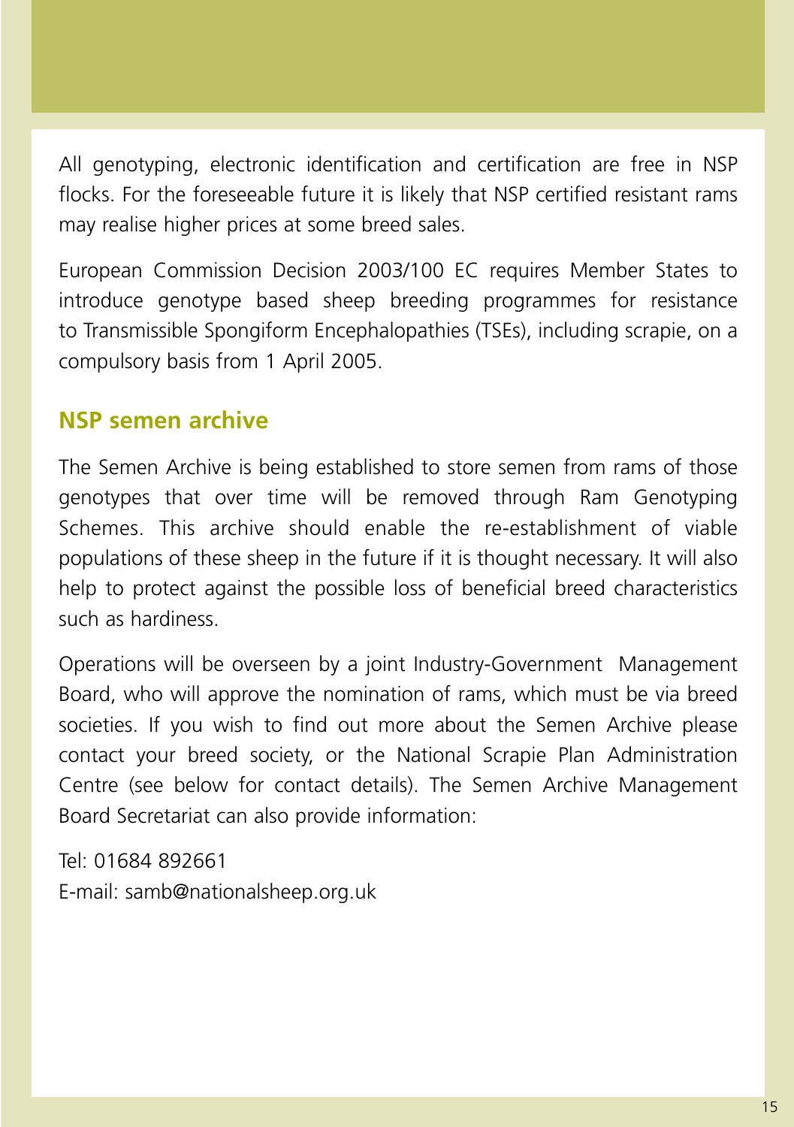All genotyping, electronic identification and certification are free in NSP flocks. For the foreseeable future it is likely that NSP certified resistant rams may realise higher prices at some breed sales.

European Commission Decision 2003/100 EC requires Member States to introduce genotype based sheep breeding programmes for resistance to Transmissible Spongiform Encephalopathies (TSEs), including scrapie, on a compulsory basis from 1 April 2005.

## **NSP semen archive**

The Semen Archive is being established to store semen from rams of those genotypes that over time will be removed through Ram Genotyping Schemes. This archive should enable the re-establishment of viable populations of these sheep in the future if it is thought necessary. It will also help to protect against the possible loss of beneficial breed characteristics such as hardiness.

Operations will be overseen by a joint Industry-Government Management Board, who will approve the nomination of rams, which must be via breed societies. If you wish to find out more about the Semen Archive please contact your breed society, or the National Scrapie Plan Administration Centre (see below for contact details). The Semen Archive Management Board Secretariat can also provide information:

Tel: 01684 892661 E-mail: samb@nationalsheep.org.uk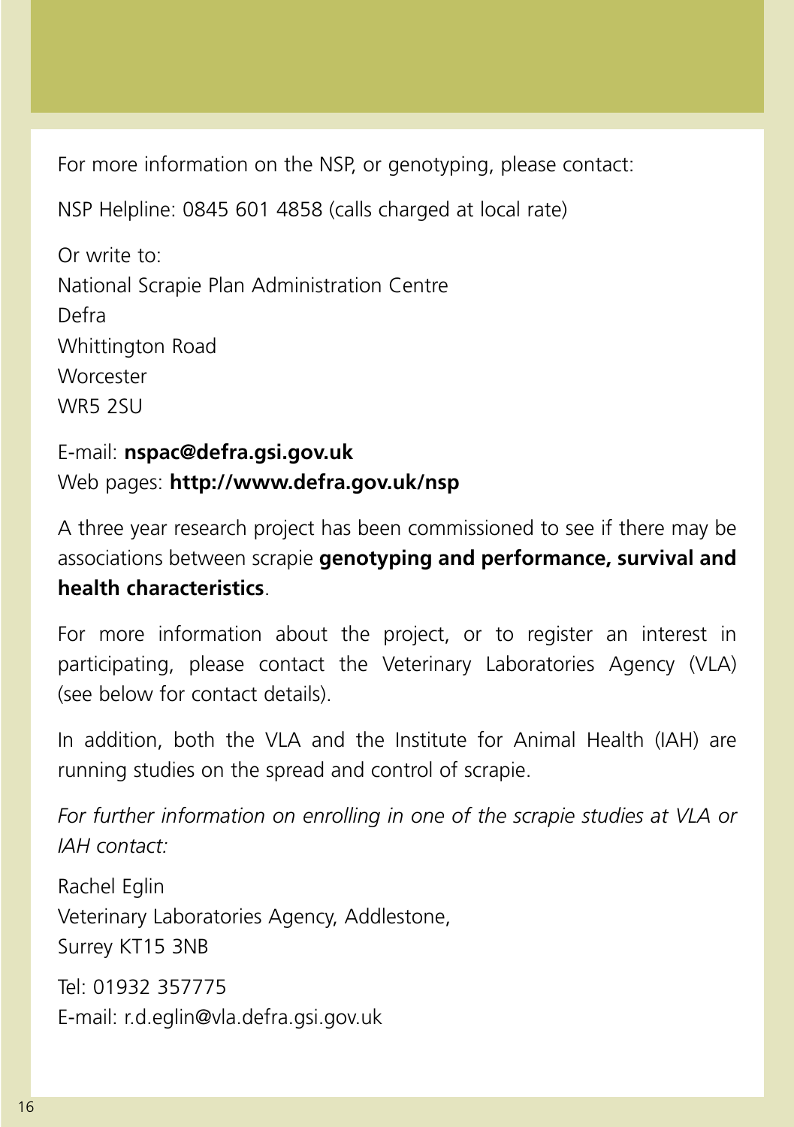For more information on the NSP, or genotyping, please contact:

NSP Helpline: 0845 601 4858 (calls charged at local rate)

Or write to: National Scrapie Plan Administration Centre Defra Whittington Road **Worcester** WR5 2SU

E-mail: **nspac@defra.gsi.gov.uk** Web pages: **http://www.defra.gov.uk/nsp**

A three year research project has been commissioned to see if there may be associations between scrapie **genotyping and performance, survival and health characteristics**.

For more information about the project, or to register an interest in participating, please contact the Veterinary Laboratories Agency (VLA) (see below for contact details).

In addition, both the VLA and the Institute for Animal Health (IAH) are running studies on the spread and control of scrapie.

*For further information on enrolling in one of the scrapie studies at VLA or IAH contact:*

Rachel Eglin Veterinary Laboratories Agency, Addlestone, Surrey KT15 3NB

Tel: 01932 357775 E-mail: r.d.eglin@vla.defra.gsi.gov.uk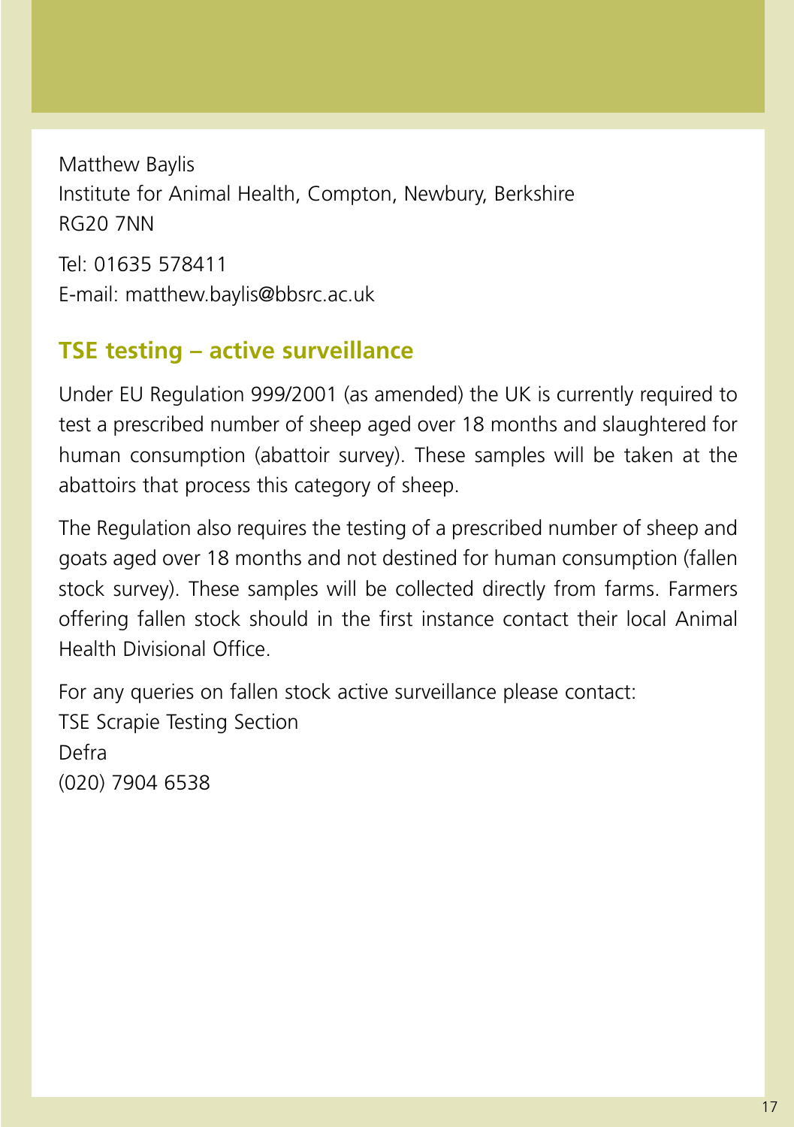Matthew Baylis Institute for Animal Health, Compton, Newbury, Berkshire RG20 7NN Tel: 01635 578411 E-mail: matthew.baylis@bbsrc.ac.uk

## **TSE testing – active surveillance**

Under EU Regulation 999/2001 (as amended) the UK is currently required to test a prescribed number of sheep aged over 18 months and slaughtered for human consumption (abattoir survey). These samples will be taken at the abattoirs that process this category of sheep.

The Regulation also requires the testing of a prescribed number of sheep and goats aged over 18 months and not destined for human consumption (fallen stock survey). These samples will be collected directly from farms. Farmers offering fallen stock should in the first instance contact their local Animal Health Divisional Office.

For any queries on fallen stock active surveillance please contact: TSE Scrapie Testing Section Defra (020) 7904 6538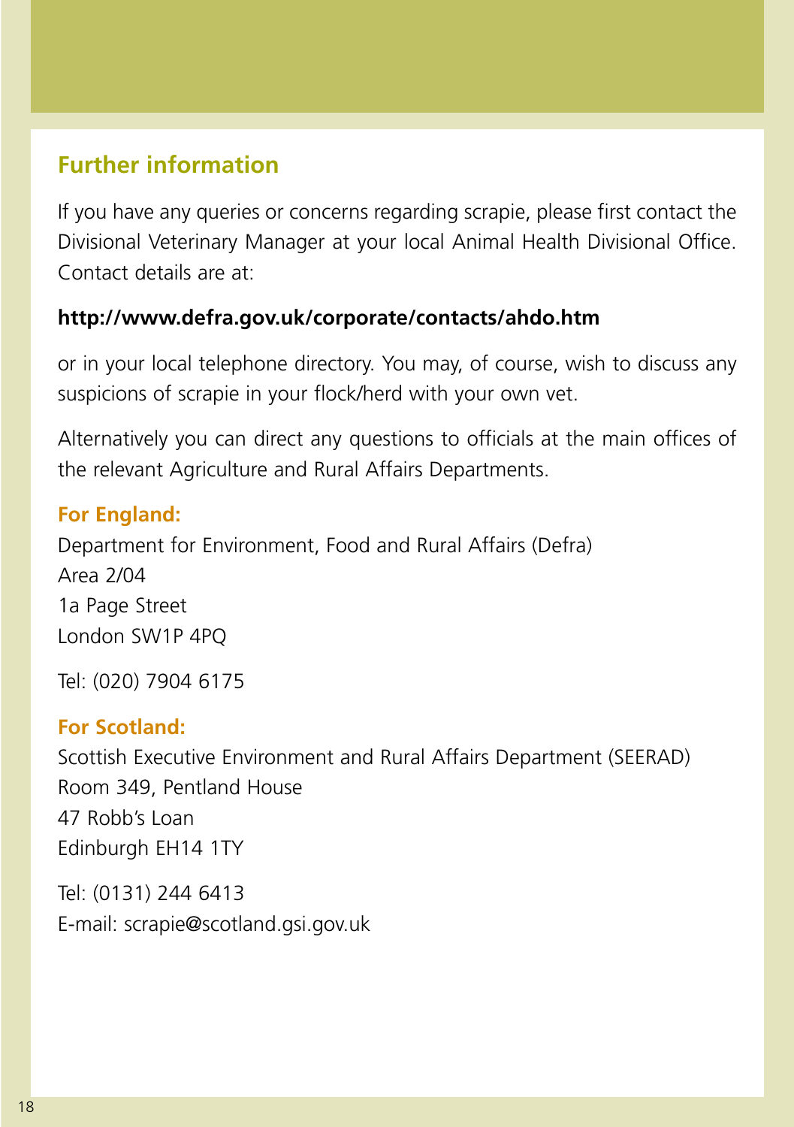## **Further information**

If you have any queries or concerns regarding scrapie, please first contact the Divisional Veterinary Manager at your local Animal Health Divisional Office. Contact details are at:

#### **http://www.defra.gov.uk/corporate/contacts/ahdo.htm**

or in your local telephone directory. You may, of course, wish to discuss any suspicions of scrapie in your flock/herd with your own vet.

Alternatively you can direct any questions to officials at the main offices of the relevant Agriculture and Rural Affairs Departments.

#### **For England:**

Department for Environment, Food and Rural Affairs (Defra)  $Area 2/04$ 1a Page Street London SW1P 4PQ

Tel: (020) 7904 6175

#### **For Scotland:**

Scottish Executive Environment and Rural Affairs Department (SEERAD) Room 349, Pentland House 47 Robb's Loan Edinburgh EH14 1TY

Tel: (0131) 244 6413 E-mail: scrapie@scotland.gsi.gov.uk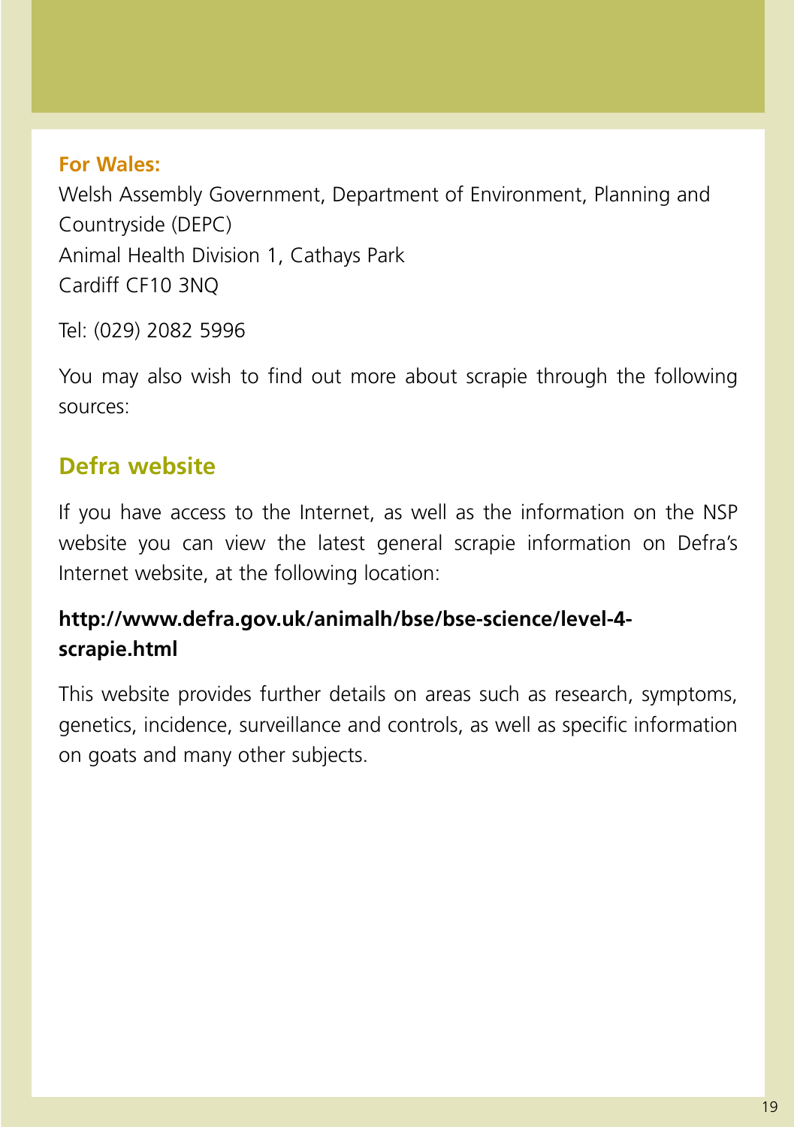#### **For Wales:**

Welsh Assembly Government, Department of Environment, Planning and Countryside (DEPC) Animal Health Division 1, Cathays Park Cardiff CF10 3NQ

Tel: (029) 2082 5996

You may also wish to find out more about scrapie through the following sources:

## **Defra website**

If you have access to the Internet, as well as the information on the NSP website you can view the latest general scrapie information on Defra's Internet website, at the following location:

## **http://www.defra.gov.uk/animalh/bse/bse-science/level-4 scrapie.html**

This website provides further details on areas such as research, symptoms, genetics, incidence, surveillance and controls, as well as specific information on goats and many other subjects.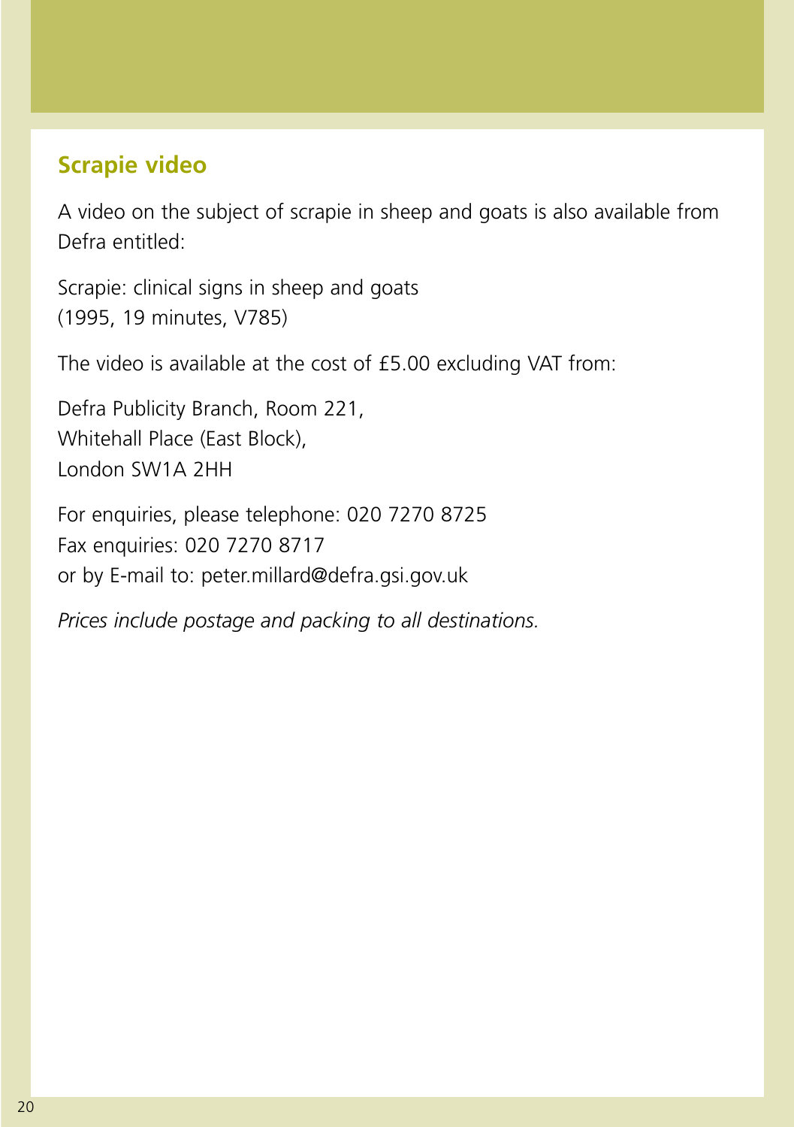## **Scrapie video**

A video on the subject of scrapie in sheep and goats is also available from Defra entitled:

Scrapie: clinical signs in sheep and goats (1995, 19 minutes, V785)

The video is available at the cost of £5.00 excluding VAT from:

Defra Publicity Branch, Room 221, Whitehall Place (East Block), London SW1A 2HH

For enquiries, please telephone: 020 7270 8725 Fax enquiries: 020 7270 8717 or by E-mail to: peter.millard@defra.gsi.gov.uk

*Prices include postage and packing to all destinations.*